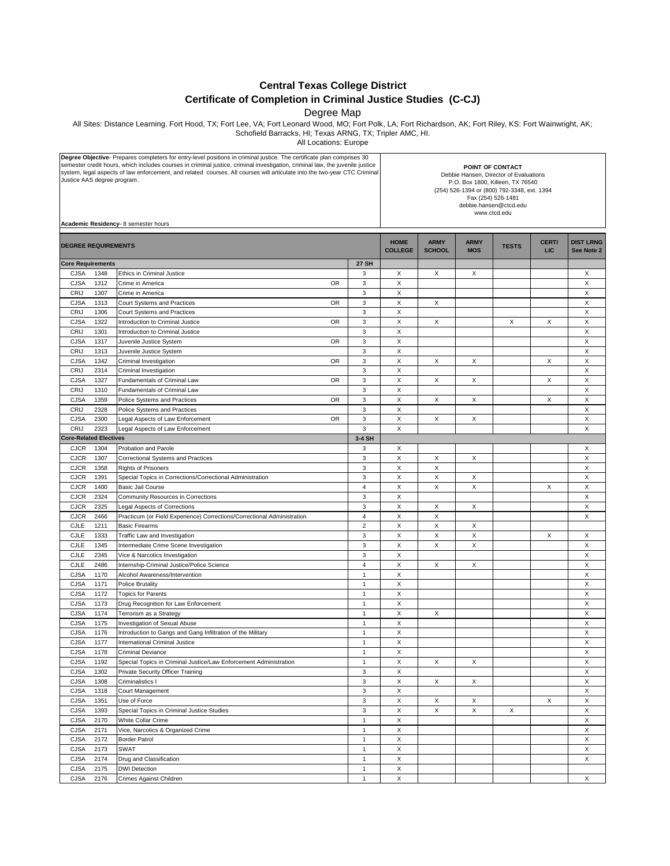**Central Texas College District**

## **Certificate of Completion in Criminal Justice Studies (C-CJ)**

Degree Map

All Sites: Distance Learning. Fort Hood, TX; Fort Lee, VA; Fort Leonard Wood, MO; Fort Polk, LA; Fort Richardson, AK; Fort Riley, KS: Fort Wainwright, AK; Schofield Barracks, HI; Texas ARNG, TX; Tripler AMC, HI.

All Locations: Europe

| Degree Objective- Prepares completers for entry-level positions in criminal justice. The certificate plan comprises 30<br>semester credit hours, which includes courses in criminal justice, criminal investigation, criminal law, the juvenile justice<br>system, legal aspects of law enforcement, and related courses. All courses will articulate into the two-year CTC Criminal<br>Justice AAS degree program.<br>Academic Residency- 8 semester hours |                              |                                | POINT OF CONTACT<br>Debbie Hansen, Director of Evaluations<br>P.O. Box 1800, Killeen, TX 76540<br>(254) 526-1394 or (800) 792-3348, ext. 1394<br>Fax (254) 526-1481<br>debbie.hansen@ctcd.edu<br>www.ctcd.edu |                           |              |                     |                                |  |
|-------------------------------------------------------------------------------------------------------------------------------------------------------------------------------------------------------------------------------------------------------------------------------------------------------------------------------------------------------------------------------------------------------------------------------------------------------------|------------------------------|--------------------------------|---------------------------------------------------------------------------------------------------------------------------------------------------------------------------------------------------------------|---------------------------|--------------|---------------------|--------------------------------|--|
| <b>DEGREE REQUIREMENTS</b>                                                                                                                                                                                                                                                                                                                                                                                                                                  |                              | <b>HOME</b><br><b>COLLEGE</b>  | <b>ARMY</b><br><b>SCHOOL</b>                                                                                                                                                                                  | <b>ARMY</b><br><b>MOS</b> | <b>TESTS</b> | CERT/<br><b>LIC</b> | <b>DIST LRNG</b><br>See Note 2 |  |
| <b>Core Requirements</b>                                                                                                                                                                                                                                                                                                                                                                                                                                    | <b>27 SH</b>                 |                                |                                                                                                                                                                                                               |                           |              |                     |                                |  |
| <b>CJSA</b><br>1348<br>Ethics in Criminal Justice                                                                                                                                                                                                                                                                                                                                                                                                           | 3                            | X                              | X                                                                                                                                                                                                             | X                         |              |                     | X                              |  |
| 1312<br><b>CJSA</b><br>Crime in America<br><b>OR</b>                                                                                                                                                                                                                                                                                                                                                                                                        | 3                            | $\mathsf X$                    |                                                                                                                                                                                                               |                           |              |                     | X                              |  |
| CRIJ<br>1307<br>Crime in America                                                                                                                                                                                                                                                                                                                                                                                                                            | 3                            | X                              |                                                                                                                                                                                                               |                           |              |                     | X                              |  |
| <b>CJSA</b><br>1313<br><b>OR</b><br>Court Systems and Practices                                                                                                                                                                                                                                                                                                                                                                                             | $\mathbf{3}$                 | X                              | X                                                                                                                                                                                                             |                           |              |                     | X                              |  |
| CRIJ<br>1306<br>Court Systems and Practices                                                                                                                                                                                                                                                                                                                                                                                                                 | 3                            | X                              |                                                                                                                                                                                                               |                           |              |                     | X                              |  |
| CJSA<br>1322<br>Introduction to Criminal Justice<br><b>OR</b>                                                                                                                                                                                                                                                                                                                                                                                               | 3                            | X                              | Х                                                                                                                                                                                                             |                           | Х            | X                   | X                              |  |
| CRIJ<br>1301<br>Introduction to Criminal Justice                                                                                                                                                                                                                                                                                                                                                                                                            | 3                            | X                              |                                                                                                                                                                                                               |                           |              |                     | X                              |  |
| <b>CJSA</b><br>1317<br>Juvenile Justice System<br><b>OR</b><br>CRIJ<br>1313<br>Juvenile Justice System                                                                                                                                                                                                                                                                                                                                                      | $\mathbf{3}$<br>3            | X<br>X                         |                                                                                                                                                                                                               |                           |              |                     | X<br>X                         |  |
| CJSA<br>1342<br><b>OR</b><br>Criminal Investigation                                                                                                                                                                                                                                                                                                                                                                                                         | $\mathbf{3}$                 | X                              | X                                                                                                                                                                                                             | X                         |              | X                   | X                              |  |
| CRIJ<br>2314<br>Criminal Investigation                                                                                                                                                                                                                                                                                                                                                                                                                      | 3                            | X                              |                                                                                                                                                                                                               |                           |              |                     | X                              |  |
| <b>CJSA</b><br>1327<br>Fundamentals of Criminal Law<br><b>OR</b>                                                                                                                                                                                                                                                                                                                                                                                            | 3                            | X                              | X                                                                                                                                                                                                             | X                         |              | X                   | X                              |  |
| CRIJ<br>1310<br>Fundamentals of Criminal Law                                                                                                                                                                                                                                                                                                                                                                                                                | 3                            | X                              |                                                                                                                                                                                                               |                           |              |                     | X                              |  |
| <b>CJSA</b><br>1359<br>Police Systems and Practices<br>OR                                                                                                                                                                                                                                                                                                                                                                                                   | 3                            | X                              | X                                                                                                                                                                                                             | $\times$                  |              | X                   | X                              |  |
| CRIJ<br>2328<br>Police Systems and Practices                                                                                                                                                                                                                                                                                                                                                                                                                | 3                            | X                              |                                                                                                                                                                                                               |                           |              |                     | X                              |  |
| <b>CJSA</b><br>2300<br>Legal Aspects of Law Enforcement<br><b>OR</b>                                                                                                                                                                                                                                                                                                                                                                                        | 3                            | X                              | X                                                                                                                                                                                                             | X                         |              |                     | X                              |  |
| CRIJ<br>2323<br>Legal Aspects of Law Enforcement                                                                                                                                                                                                                                                                                                                                                                                                            | 3                            | X                              |                                                                                                                                                                                                               |                           |              |                     | X                              |  |
| <b>Core-Related Electives</b>                                                                                                                                                                                                                                                                                                                                                                                                                               | 3-4 SH                       |                                |                                                                                                                                                                                                               |                           |              |                     |                                |  |
| 1304<br><b>CJCR</b><br>Probation and Parole                                                                                                                                                                                                                                                                                                                                                                                                                 | 3                            | Χ                              |                                                                                                                                                                                                               |                           |              |                     | X                              |  |
| <b>CJCR</b><br>1307<br><b>Correctional Systems and Practices</b>                                                                                                                                                                                                                                                                                                                                                                                            | 3                            | X                              | X                                                                                                                                                                                                             | X                         |              |                     | X                              |  |
| 1358<br><b>CJCR</b><br><b>Rights of Prisoners</b>                                                                                                                                                                                                                                                                                                                                                                                                           | 3<br>3                       | X<br>X                         | X<br>X                                                                                                                                                                                                        |                           |              |                     | X<br>X                         |  |
| <b>CJCR</b><br>1391<br>Special Topics in Corrections/Correctional Administration<br><b>CJCR</b><br>1400<br>Basic Jail Course                                                                                                                                                                                                                                                                                                                                | $\overline{4}$               | X                              | X                                                                                                                                                                                                             | X<br>X                    |              | X                   | X                              |  |
| 2324<br><b>CJCR</b><br>Community Resources in Corrections                                                                                                                                                                                                                                                                                                                                                                                                   | 3                            | X                              |                                                                                                                                                                                                               |                           |              |                     | X                              |  |
| <b>CJCR</b><br>2325<br>Legal Aspects of Corrections                                                                                                                                                                                                                                                                                                                                                                                                         | 3                            | X                              | X                                                                                                                                                                                                             | X                         |              |                     | X                              |  |
| <b>CJCR</b><br>2466<br>Practicum (or Field Experience) Corrections/Correctional Administration                                                                                                                                                                                                                                                                                                                                                              | $\overline{4}$               | X                              | X                                                                                                                                                                                                             |                           |              |                     | X                              |  |
| CJLE<br>1211<br><b>Basic Firearms</b>                                                                                                                                                                                                                                                                                                                                                                                                                       | $\overline{2}$               | X                              | X                                                                                                                                                                                                             | X                         |              |                     |                                |  |
| CJLE<br>1333<br>Traffic Law and Investigation                                                                                                                                                                                                                                                                                                                                                                                                               | 3                            | X                              | X                                                                                                                                                                                                             | X                         |              | X                   | X                              |  |
| <b>CJLE</b><br>1345<br>Intermediate Crime Scene Investigation                                                                                                                                                                                                                                                                                                                                                                                               | 3                            | X                              | $\boldsymbol{\mathsf{X}}$                                                                                                                                                                                     | X                         |              |                     | X                              |  |
| <b>CJLE</b><br>2345<br>Vice & Narcotics Investigation                                                                                                                                                                                                                                                                                                                                                                                                       | 3                            | X                              |                                                                                                                                                                                                               |                           |              |                     | X                              |  |
| CJLE<br>2486<br>Internship-Criminal Justice/Police Science                                                                                                                                                                                                                                                                                                                                                                                                  | $\overline{4}$               | $\mathsf X$                    | X                                                                                                                                                                                                             | X                         |              |                     | X                              |  |
| <b>CJSA</b><br>1170<br>Alcohol Awareness/Intervention                                                                                                                                                                                                                                                                                                                                                                                                       | 1                            | X                              |                                                                                                                                                                                                               |                           |              |                     | X                              |  |
| 1171<br><b>CJSA</b><br><b>Police Brutality</b>                                                                                                                                                                                                                                                                                                                                                                                                              | 1                            | X                              |                                                                                                                                                                                                               |                           |              |                     | X                              |  |
| <b>CJSA</b><br>1172<br><b>Topics for Parents</b>                                                                                                                                                                                                                                                                                                                                                                                                            | 1                            | X                              |                                                                                                                                                                                                               |                           |              |                     | X                              |  |
| <b>CJSA</b><br>1173<br>Drug Recognition for Law Enforcement<br><b>CJSA</b><br>1174<br>Terrorism as a Strategy                                                                                                                                                                                                                                                                                                                                               | $\mathbf{1}$<br>1            | X<br>X                         | X                                                                                                                                                                                                             |                           |              |                     | X<br>X                         |  |
| <b>CJSA</b><br>1175<br>Investigation of Sexual Abuse                                                                                                                                                                                                                                                                                                                                                                                                        | $\mathbf{1}$                 | X                              |                                                                                                                                                                                                               |                           |              |                     | X                              |  |
| <b>CJSA</b><br>1176<br>Introduction to Gangs and Gang Infiltration of the Military                                                                                                                                                                                                                                                                                                                                                                          | 1                            | X                              |                                                                                                                                                                                                               |                           |              |                     | X                              |  |
| CJSA<br>1177<br>International Criminal Justice                                                                                                                                                                                                                                                                                                                                                                                                              | 1                            | X                              |                                                                                                                                                                                                               |                           |              |                     | X                              |  |
| <b>CJSA</b><br>1178<br><b>Criminal Deviance</b>                                                                                                                                                                                                                                                                                                                                                                                                             | $\mathbf{1}$                 | X                              |                                                                                                                                                                                                               |                           |              |                     | X                              |  |
| <b>CJSA</b><br>1192<br>Special Topics in Criminal Justice/Law Enforcement Administration                                                                                                                                                                                                                                                                                                                                                                    | $\mathbf{1}$                 | X                              | X                                                                                                                                                                                                             | X                         |              |                     | X                              |  |
| 1302<br><b>CJSA</b><br>Private Security Officer Training                                                                                                                                                                                                                                                                                                                                                                                                    | $\ensuremath{\mathsf{3}}$    | X                              |                                                                                                                                                                                                               |                           |              |                     | X                              |  |
| CJSA<br>1308<br>Criminalistics I                                                                                                                                                                                                                                                                                                                                                                                                                            | $\mathbf{3}$                 | $\mathsf X$                    | X                                                                                                                                                                                                             | X                         |              |                     | X                              |  |
| CJSA<br>1318<br>Court Management                                                                                                                                                                                                                                                                                                                                                                                                                            | $\mathbf 3$                  | X                              |                                                                                                                                                                                                               |                           |              |                     | X                              |  |
| <b>CJSA</b><br>1351<br>Use of Force                                                                                                                                                                                                                                                                                                                                                                                                                         | $\mathbf{3}$                 | X                              | X                                                                                                                                                                                                             | X                         |              | X                   | X                              |  |
| <b>CJSA</b><br>1393<br>Special Topics in Criminal Justice Studies                                                                                                                                                                                                                                                                                                                                                                                           | 3                            | X                              | X                                                                                                                                                                                                             | X                         | X            |                     | X                              |  |
| <b>CJSA</b><br>2170<br>White Collar Crime                                                                                                                                                                                                                                                                                                                                                                                                                   | $\mathbf{1}$                 | X                              |                                                                                                                                                                                                               |                           |              |                     | X                              |  |
| CJSA<br>2171<br>Vice, Narcotics & Organized Crime                                                                                                                                                                                                                                                                                                                                                                                                           | $\mathbf{1}$                 | X                              |                                                                                                                                                                                                               |                           |              |                     | X                              |  |
| CJSA<br><b>Border Patrol</b><br>2172<br>CJSA<br>2173<br>SWAT                                                                                                                                                                                                                                                                                                                                                                                                | $\mathbf{1}$<br>$\mathbf{1}$ | X<br>$\boldsymbol{\mathsf{X}}$ |                                                                                                                                                                                                               |                           |              |                     | X<br>X                         |  |
| <b>CJSA</b><br>2174<br>Drug and Classification                                                                                                                                                                                                                                                                                                                                                                                                              | $\mathbf{1}$                 | X                              |                                                                                                                                                                                                               |                           |              |                     | X                              |  |
| CJSA<br><b>DWI Detection</b><br>2175                                                                                                                                                                                                                                                                                                                                                                                                                        | $\mathbf{1}$                 | X                              |                                                                                                                                                                                                               |                           |              |                     |                                |  |
| CJSA<br>2176<br>Crimes Against Children                                                                                                                                                                                                                                                                                                                                                                                                                     | $\mathbf{1}$                 | $\mathsf X$                    |                                                                                                                                                                                                               |                           |              |                     | X                              |  |
|                                                                                                                                                                                                                                                                                                                                                                                                                                                             |                              |                                |                                                                                                                                                                                                               |                           |              |                     |                                |  |